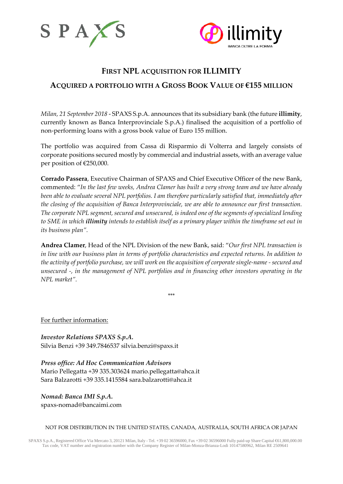



## **FIRST NPL ACQUISITION FOR ILLIMITY ACQUIRED A PORTFOLIO WITH A GROSS BOOK VALUE OF €155 MILLION**

*Milan, 21 September 2018* - SPAXS S.p.A. announces that its subsidiary bank (the future **illimity**, currently known as Banca Interprovinciale S.p.A.) finalised the acquisition of a portfolio of non-performing loans with a gross book value of Euro 155 million.

The portfolio was acquired from Cassa di Risparmio di Volterra and largely consists of corporate positions secured mostly by commercial and industrial assets, with an average value per position of €250,000.

**Corrado Passera**, Executive Chairman of SPAXS and Chief Executive Officer of the new Bank, commented: "*In the last few weeks, Andrea Clamer has built a very strong team and we have already been able to evaluate several NPL portfolios. I am therefore particularly satisfied that, immediately after the closing of the acquisition of Banca Interprovinciale, we are able to announce our first transaction. The corporate NPL segment, secured and unsecured, is indeed one of the segments of specialized lending to SME in which illimity intends to establish itself as a primary player within the timeframe set out in its business plan".*

**Andrea Clamer**, Head of the NPL Division of the new Bank, said: "*Our first NPL transaction is in line with our business plan in terms of portfolio characteristics and expected returns. In addition to the activity of portfolio purchase, we will work on the acquisition of corporate single-name - secured and unsecured -, in the management of NPL portfolios and in financing other investors operating in the NPL market".*

\*\*\*

For further information:

*Investor Relations SPAXS S.p.A.* Silvia Benzi +39 349.7846537 [silvia.benzi@spaxs.it](mailto:silvia.benzi@spaxs.it)

*Press office: Ad Hoc Communication Advisors* Mario Pellegatta +39 335.303624 [mario.pellegatta@ahca.it](mailto:mario.pellegatta@ahca.it) Sara Balzarotti +39 335.1415584 [sara.balzarotti@ahca.it](mailto:sara.balzarotti@ahca.it)

*Nomad: Banca IMI S.p.A.* spaxs-nomad@bancaimi.com

## NOT FOR DISTRIBUTION IN THE UNITED STATES, CANADA, AUSTRALIA, SOUTH AFRICA OR JAPAN

SPAXS S.p.A., Registered Office Via Mercato 3, 20121 Milan, Italy - Tel. +39 02 36596000, Fax +39 02 36596000 Fully paid-up Share Capital €61,800,000.00 Tax code, VAT number and registration number with the Company Register of Milan-Monza-Brianza-Lodi 10147580962, Milan RE 2509641